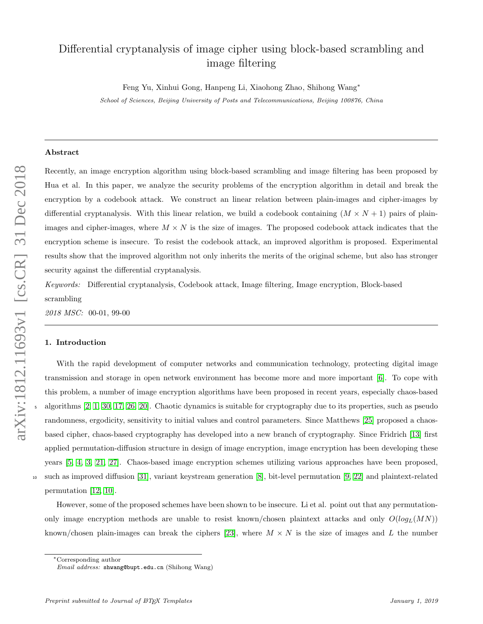# Differential cryptanalysis of image cipher using block-based scrambling and image filtering

Feng Yu, Xinhui Gong, Hanpeng Li, Xiaohong Zhao, Shihong Wang<sup>∗</sup>

School of Sciences, Beijing University of Posts and Telecommunications, Beijing 100876, China

# Abstract

Recently, an image encryption algorithm using block-based scrambling and image filtering has been proposed by Hua et al. In this paper, we analyze the security problems of the encryption algorithm in detail and break the encryption by a codebook attack. We construct an linear relation between plain-images and cipher-images by differential cryptanalysis. With this linear relation, we build a codebook containing  $(M \times N + 1)$  pairs of plainimages and cipher-images, where  $M \times N$  is the size of images. The proposed codebook attack indicates that the encryption scheme is insecure. To resist the codebook attack, an improved algorithm is proposed. Experimental results show that the improved algorithm not only inherits the merits of the original scheme, but also has stronger security against the differential cryptanalysis.

Keywords: Differential cryptanalysis, Codebook attack, Image filtering, Image encryption, Block-based scrambling

2018 MSC: 00-01, 99-00

# 1. Introduction

With the rapid development of computer networks and communication technology, protecting digital image transmission and storage in open network environment has become more and more important [\[6\]](#page-9-0). To cope with this problem, a number of image encryption algorithms have been proposed in recent years, especially chaos-based algorithms  $[2, 1, 30, 17, 26, 20]$  $[2, 1, 30, 17, 26, 20]$  $[2, 1, 30, 17, 26, 20]$  $[2, 1, 30, 17, 26, 20]$  $[2, 1, 30, 17, 26, 20]$  $[2, 1, 30, 17, 26, 20]$ . Chaotic dynamics is suitable for cryptography due to its properties, such as pseudo randomness, ergodicity, sensitivity to initial values and control parameters. Since Matthews [\[25\]](#page-10-3) proposed a chaosbased cipher, chaos-based cryptography has developed into a new branch of cryptography. Since Fridrich [\[13\]](#page-10-4) first applied permutation-diffusion structure in design of image encryption, image encryption has been developing these years [\[5,](#page-9-3) [4,](#page-9-4) [3,](#page-9-5) [21,](#page-10-5) [27\]](#page-10-6). Chaos-based image encryption schemes utilizing various approaches have been proposed, <sup>10</sup> such as improved diffusion [\[31\]](#page-11-1), variant keystream generation [\[8\]](#page-9-6), bit-level permutation [\[9,](#page-9-7) [22\]](#page-10-7) and plaintext-related permutation [\[12,](#page-10-8) [10\]](#page-9-8).

However, some of the proposed schemes have been shown to be insecure. Li et al. point out that any permutationonly image encryption methods are unable to resist known/chosen plaintext attacks and only  $O(log_L(MN))$ known/chosen plain-images can break the ciphers [\[23\]](#page-10-9), where  $M \times N$  is the size of images and L the number

<sup>∗</sup>Corresponding author

Email address: shwang@bupt.edu.cn (Shihong Wang)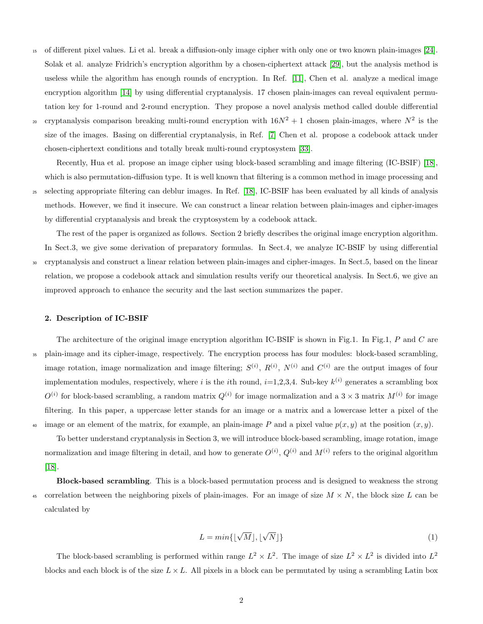<sup>15</sup> of different pixel values. Li et al. break a diffusion-only image cipher with only one or two known plain-images [\[24\]](#page-10-10). Solak et al. analyze Fridrich's encryption algorithm by a chosen-ciphertext attack [\[29\]](#page-11-2), but the analysis method is useless while the algorithm has enough rounds of encryption. In Ref. [\[11\]](#page-9-9), Chen et al. analyze a medical image encryption algorithm [\[14\]](#page-10-11) by using differential cryptanalysis. 17 chosen plain-images can reveal equivalent permutation key for 1-round and 2-round encryption. They propose a novel analysis method called double differential cryptanalysis comparison breaking multi-round encryption with  $16N^2 + 1$  chosen plain-images, where  $N^2$  is the size of the images. Basing on differential cryptanalysis, in Ref. [\[7\]](#page-9-10) Chen et al. propose a codebook attack under chosen-ciphertext conditions and totally break multi-round cryptosystem [\[33\]](#page-11-3).

Recently, Hua et al. propose an image cipher using block-based scrambling and image filtering (IC-BSIF) [\[18\]](#page-10-12), which is also permutation-diffusion type. It is well known that filtering is a common method in image processing and <sup>25</sup> selecting appropriate filtering can deblur images. In Ref. [\[18\]](#page-10-12), IC-BSIF has been evaluated by all kinds of analysis methods. However, we find it insecure. We can construct a linear relation between plain-images and cipher-images by differential cryptanalysis and break the cryptosystem by a codebook attack.

The rest of the paper is organized as follows. Section 2 briefly describes the original image encryption algorithm. In Sect.3, we give some derivation of preparatory formulas. In Sect.4, we analyze IC-BSIF by using differential <sup>30</sup> cryptanalysis and construct a linear relation between plain-images and cipher-images. In Sect.5, based on the linear relation, we propose a codebook attack and simulation results verify our theoretical analysis. In Sect.6, we give an improved approach to enhance the security and the last section summarizes the paper.

# 2. Description of IC-BSIF

The architecture of the original image encryption algorithm IC-BSIF is shown in Fig.1. In Fig.1, P and C are <sup>35</sup> plain-image and its cipher-image, respectively. The encryption process has four modules: block-based scrambling, image rotation, image normalization and image filtering;  $S^{(i)}$ ,  $R^{(i)}$ ,  $N^{(i)}$  and  $C^{(i)}$  are the output images of four implementation modules, respectively, where i is the ith round,  $i=1,2,3,4$ . Sub-key  $k^{(i)}$  generates a scrambling box  $O^{(i)}$  for block-based scrambling, a random matrix  $Q^{(i)}$  for image normalization and a 3 × 3 matrix  $M^{(i)}$  for image filtering. In this paper, a uppercase letter stands for an image or a matrix and a lowercase letter a pixel of the <sup>40</sup> image or an element of the matrix, for example, an plain-image P and a pixel value  $p(x, y)$  at the position  $(x, y)$ .

To better understand cryptanalysis in Section 3, we will introduce block-based scrambling, image rotation, image normalization and image filtering in detail, and how to generate  $O^{(i)}$ ,  $Q^{(i)}$  and  $M^{(i)}$  refers to the original algorithm [\[18\]](#page-10-12).

Block-based scrambling. This is a block-based permutation process and is designed to weakness the strong 45 correlation between the neighboring pixels of plain-images. For an image of size  $M \times N$ , the block size L can be calculated by

$$
L = min\{\lfloor \sqrt{M} \rfloor, \lfloor \sqrt{N} \rfloor\}
$$
 (1)

The block-based scrambling is performed within range  $L^2 \times L^2$ . The image of size  $L^2 \times L^2$  is divided into  $L^2$ blocks and each block is of the size  $L \times L$ . All pixels in a block can be permutated by using a scrambling Latin box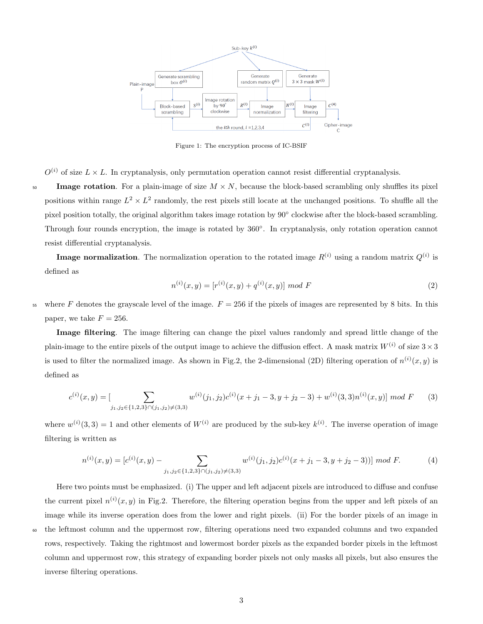

Figure 1: The encryption process of IC-BSIF

 $O^{(i)}$  of size  $L \times L$ . In cryptanalysis, only permutation operation cannot resist differential cryptanalysis.

50 Image rotation. For a plain-image of size  $M \times N$ , because the block-based scrambling only shuffles its pixel positions within range  $L^2 \times L^2$  randomly, the rest pixels still locate at the unchanged positions. To shuffle all the pixel position totally, the original algorithm takes image rotation by 90° clockwise after the block-based scrambling. Through four rounds encryption, the image is rotated by 360°. In cryptanalysis, only rotation operation cannot resist differential cryptanalysis.

**Image normalization**. The normalization operation to the rotated image  $R^{(i)}$  using a random matrix  $Q^{(i)}$  is defined as

$$
n^{(i)}(x,y) = [r^{(i)}(x,y) + q^{(i)}(x,y)] \mod F
$$
\n(2)

55 where F denotes the grayscale level of the image.  $F = 256$  if the pixels of images are represented by 8 bits. In this paper, we take  $F = 256$ .

Image filtering. The image filtering can change the pixel values randomly and spread little change of the plain-image to the entire pixels of the output image to achieve the diffusion effect. A mask matrix  $W^{(i)}$  of size  $3 \times 3$ is used to filter the normalized image. As shown in Fig.2, the 2-dimensional (2D) filtering operation of  $n^{(i)}(x, y)$  is defined as

$$
c^{(i)}(x,y) = \left[\sum_{j_1,j_2 \in \{1,2,3\} \cap (j_1,j_2) \neq (3,3)} w^{(i)}(j_1,j_2)c^{(i)}(x+j_1-3,y+j_2-3) + w^{(i)}(3,3)n^{(i)}(x,y)\right] \mod F \tag{3}
$$

where  $w^{(i)}(3,3) = 1$  and other elements of  $W^{(i)}$  are produced by the sub-key  $k^{(i)}$ . The inverse operation of image filtering is written as

$$
n^{(i)}(x,y) = [c^{(i)}(x,y) - \sum_{j_1,j_2 \in \{1,2,3\} \cap (j_1,j_2) \neq (3,3)} w^{(i)}(j_1,j_2) c^{(i)}(x+j_1-3,y+j_2-3))] \mod F.
$$
 (4)

Here two points must be emphasized. (i) The upper and left adjacent pixels are introduced to diffuse and confuse the current pixel  $n^{(i)}(x, y)$  in Fig.2. Therefore, the filtering operation begins from the upper and left pixels of an image while its inverse operation does from the lower and right pixels. (ii) For the border pixels of an image in the leftmost column and the uppermost row, filtering operations need two expanded columns and two expanded rows, respectively. Taking the rightmost and lowermost border pixels as the expanded border pixels in the leftmost column and uppermost row, this strategy of expanding border pixels not only masks all pixels, but also ensures the inverse filtering operations.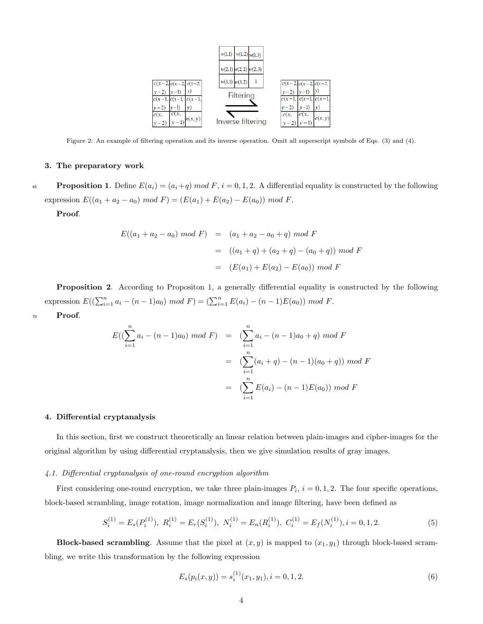

Figure 2: An example of filtering operation and its inverse operation. Omit all superscript symbols of Eqs. (3) and (4).

# 3. The preparatory work

65 Proposition 1. Define  $E(a_i) = (a_i + q) \mod F$ ,  $i = 0, 1, 2$ . A differential equality is constructed by the following expression  $E((a_1 + a_2 - a_0) \mod F) = (E(a_1) + E(a_2) - E(a_0)) \mod F$ .

Proof.

$$
E((a_1 + a_2 - a_0) \mod F) = (a_1 + a_2 - a_0 + q) \mod F
$$
  
=  $((a_1 + q) + (a_2 + q) - (a_0 + q)) \mod F$   
=  $(E(a_1) + E(a_2) - E(a_0)) \mod F$ 

Proposition 2. According to Propositon 1, a generally differential equality is constructed by the following expression  $E((\sum_{i=1}^n a_i - (n-1)a_0) \mod F) = (\sum_{i=1}^n E(a_i) - (n-1)E(a_0)) \mod F$ .

<sup>70</sup> Proof.

$$
E((\sum_{i=1}^{n} a_i - (n-1)a_0) \mod F) = (\sum_{i=1}^{n} a_i - (n-1)a_0 + q) \mod F
$$
  

$$
= (\sum_{i=1}^{n} (a_i + q) - (n-1)(a_0 + q)) \mod F
$$
  

$$
= (\sum_{i=1}^{n} E(a_i) - (n-1)E(a_0)) \mod F
$$

# 4. Differential cryptanalysis

In this section, first we construct theoretically an linear relation between plain-images and cipher-images for the original algorithm by using differential cryptanalysis, then we give simulation results of gray images.

# 4.1. Differential cryptanalysis of one-round encryption algorithm

First considering one-round encryption, we take three plain-images  $P_i$ ,  $i = 0, 1, 2$ . The four specific operations, block-based scrambling, image rotation, image normalization and image filtering, have been defined as

$$
S_i^{(1)} = E_s(P_i^{(1)}), \ R_i^{(1)} = E_r(S_i^{(1)}), \ N_i^{(1)} = E_n(R_i^{(1)}), \ C_i^{(1)} = E_f(N_i^{(1)}), i = 0, 1, 2. \tag{5}
$$

**Block-based scrambling.** Assume that the pixel at  $(x, y)$  is mapped to  $(x_1, y_1)$  through block-based scrambling, we write this transformation by the following expression

$$
E_s(p_i(x, y)) = s_i^{(1)}(x_1, y_1), i = 0, 1, 2.
$$
\n<sup>(6)</sup>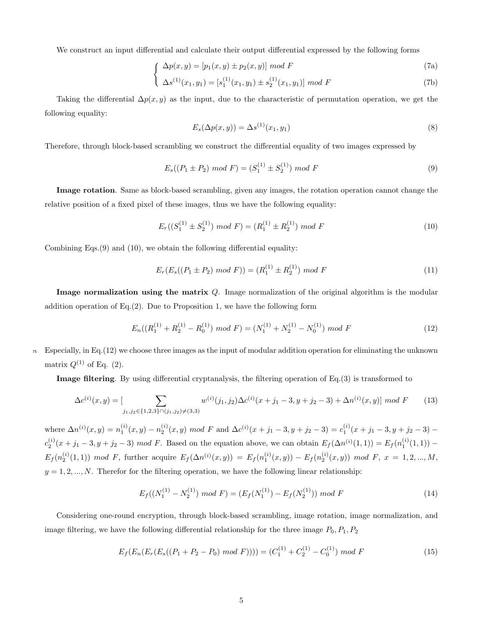We construct an input differential and calculate their output differential expressed by the following forms

$$
\int \Delta p(x, y) = [p_1(x, y) \pm p_2(x, y)] \mod F \tag{7a}
$$

$$
\left(\Delta s^{(1)}(x_1, y_1) = [s_1^{(1)}(x_1, y_1) \pm s_2^{(1)}(x_1, y_1)] \mod F\right)
$$
\n(7b)

Taking the differential  $\Delta p(x, y)$  as the input, due to the characteristic of permutation operation, we get the following equality:

$$
E_s(\Delta p(x, y)) = \Delta s^{(1)}(x_1, y_1) \tag{8}
$$

Therefore, through block-based scrambling we construct the differential equality of two images expressed by

$$
E_s((P_1 \pm P_2) \mod F) = (S_1^{(1)} \pm S_2^{(1)}) \mod F
$$
\n<sup>(9)</sup>

Image rotation. Same as block-based scrambling, given any images, the rotation operation cannot change the relative position of a fixed pixel of these images, thus we have the following equality:

$$
E_r((S_1^{(1)} \pm S_2^{(1)}) \mod F) = (R_1^{(1)} \pm R_2^{(1)}) \mod F \tag{10}
$$

Combining Eqs.(9) and (10), we obtain the following differential equality:

$$
E_r(E_s((P_1 \pm P_2) \mod F)) = (R_1^{(1)} \pm R_2^{(1)}) \mod F
$$
\n<sup>(11)</sup>

Image normalization using the matrix Q. Image normalization of the original algorithm is the modular addition operation of  $Eq.(2)$ . Due to Proposition 1, we have the following form

$$
E_n((R_1^{(1)} + R_2^{(1)} - R_0^{(1)}) \mod F) = (N_1^{(1)} + N_2^{(1)} - N_0^{(1)}) \mod F
$$
\n
$$
(12)
$$

 $\tau$ <sub>5</sub> Especially, in Eq.(12) we choose three images as the input of modular addition operation for eliminating the unknown matrix  $Q^{(1)}$  of Eq. (2).

Image filtering. By using differential cryptanalysis, the filtering operation of Eq.(3) is transformed to

$$
\Delta c^{(i)}(x,y) = \left[\sum_{j_1,j_2 \in \{1,2,3\} \cap (j_1,j_2) \neq (3,3)} w^{(i)}(j_1,j_2) \Delta c^{(i)}(x+j_1-3,y+j_2-3) + \Delta n^{(i)}(x,y)\right] \mod F \tag{13}
$$

where  $\Delta n^{(i)}(x,y) = n_1^{(i)}(x,y) - n_2^{(i)}(x,y) \mod F$  and  $\Delta c^{(i)}(x+j_1-3,y+j_2-3) = c_1^{(i)}(x+j_1-3,y+j_2-3)$  $c_2^{(i)}(x+j_1-3, y+j_2-3) \mod F$ . Based on the equation above, we can obtain  $E_f(\Delta n^{(i)}(1,1)) = E_f(n_1^{(i)}(1,1)) E_f(n_2^{(i)}(1,1)) \mod F$ , further acquire  $E_f(\Delta n^{(i)}(x,y)) = E_f(n_1^{(i)}(x,y)) - E_f(n_2^{(i)}(x,y)) \mod F$ ,  $x = 1, 2, ..., M$ ,  $y = 1, 2, ..., N$ . Therefor for the filtering operation, we have the following linear relationship:

$$
E_f((N_1^{(1)} - N_2^{(1)}) \mod F) = (E_f(N_1^{(1)}) - E_f(N_2^{(1)})) \mod F
$$
\n
$$
(14)
$$

Considering one-round encryption, through block-based scrambling, image rotation, image normalization, and image filtering, we have the following differential relationship for the three image  $P_0, P_1, P_2$ 

$$
E_f(E_n(E_r(E_s((P_1 + P_2 - P_0) mod F)))) = (C_1^{(1)} + C_2^{(1)} - C_0^{(1)}) mod F
$$
\n(15)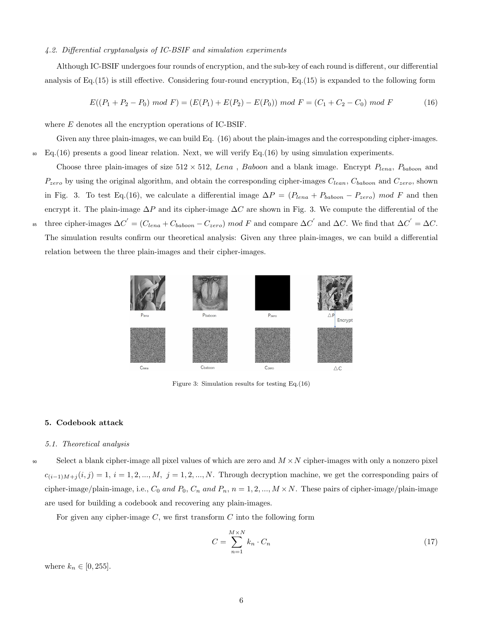# 4.2. Differential cryptanalysis of IC-BSIF and simulation experiments

Although IC-BSIF undergoes four rounds of encryption, and the sub-key of each round is different, our differential analysis of Eq.(15) is still effective. Considering four-round encryption, Eq.(15) is expanded to the following form

$$
E((P_1 + P_2 - P_0) \mod F) = (E(P_1) + E(P_2) - E(P_0)) \mod F = (C_1 + C_2 - C_0) \mod F \tag{16}
$$

where E denotes all the encryption operations of IC-BSIF.

Given any three plain-images, we can build Eq. (16) about the plain-images and the corresponding cipher-images.  $\mathbb{E}_{\mathbf{G}}(16)$  presents a good linear relation. Next, we will verify Eq.(16) by using simulation experiments.

Choose three plain-images of size  $512 \times 512$ , Lena, Baboon and a blank image. Encrypt  $P_{lena}$ ,  $P_{baboon}$  and  $P_{zero}$  by using the original algorithm, and obtain the corresponding cipher-images  $C_{lean}$ ,  $C_{baboon}$  and  $C_{zero}$ , shown in Fig. 3. To test Eq.(16), we calculate a differential image  $\Delta P = (P_{lean} + P_{baboon} - P_{zero}) \mod F$  and then encrypt it. The plain-image  $\Delta P$  and its cipher-image  $\Delta C$  are shown in Fig. 3. We compute the differential of the <sup>85</sup> three cipher-images  $\Delta C' = (C_{lena} + C_{baboon} - C_{zero}) \mod F$  and compare  $\Delta C'$  and  $\Delta C$ . We find that  $\Delta C' = \Delta C$ . The simulation results confirm our theoretical analysis: Given any three plain-images, we can build a differential relation between the three plain-images and their cipher-images.



Figure 3: Simulation results for testing Eq.(16)

### 5. Codebook attack

#### 5.1. Theoretical analysis

90 Select a blank cipher-image all pixel values of which are zero and  $M \times N$  cipher-images with only a nonzero pixel  $c_{(i-1)M+j}(i,j) = 1, i = 1, 2, ..., M, j = 1, 2, ..., N$ . Through decryption machine, we get the corresponding pairs of cipher-image/plain-image, i.e.,  $C_0$  and  $P_0$ ,  $C_n$  and  $P_n$ ,  $n = 1, 2, ..., M \times N$ . These pairs of cipher-image/plain-image are used for building a codebook and recovering any plain-images.

For given any cipher-image  $C$ , we first transform  $C$  into the following form

$$
C = \sum_{n=1}^{M \times N} k_n \cdot C_n \tag{17}
$$

where  $k_n \in [0, 255]$ .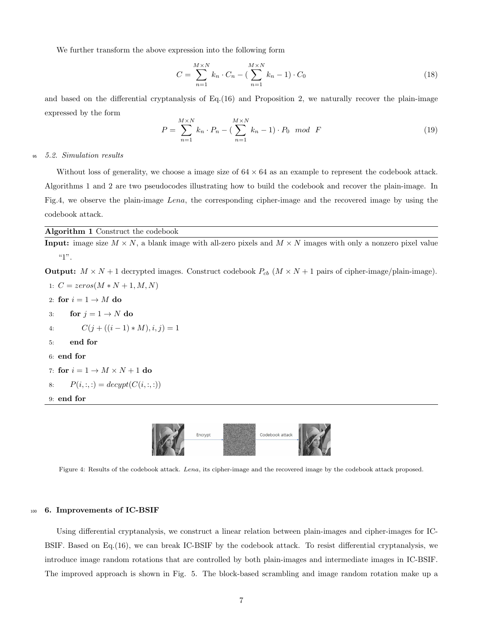We further transform the above expression into the following form

$$
C = \sum_{n=1}^{M \times N} k_n \cdot C_n - (\sum_{n=1}^{M \times N} k_n - 1) \cdot C_0
$$
 (18)

and based on the differential cryptanalysis of Eq.(16) and Proposition 2, we naturally recover the plain-image expressed by the form

$$
P = \sum_{n=1}^{M \times N} k_n \cdot P_n - \left(\sum_{n=1}^{M \times N} k_n - 1\right) \cdot P_0 \mod F
$$
 (19)

### <sup>95</sup> 5.2. Simulation results

Without loss of generality, we choose a image size of  $64 \times 64$  as an example to represent the codebook attack. Algorithms 1 and 2 are two pseudocodes illustrating how to build the codebook and recover the plain-image. In Fig.4, we observe the plain-image Lena, the corresponding cipher-image and the recovered image by using the codebook attack.

# Algorithm 1 Construct the codebook

**Input:** image size  $M \times N$ , a blank image with all-zero pixels and  $M \times N$  images with only a nonzero pixel value  $"1"$ .

**Output:**  $M \times N + 1$  decrypted images. Construct codebook  $P_{cb}$   $(M \times N + 1)$  pairs of cipher-image/plain-image).

```
1: C = zeros(M*N+1, M, N)2: for i = 1 \rightarrow M do
3: for j = 1 \rightarrow N do
4: C(j + ((i - 1) * M), i, j) = 15: end for
6: end for
7: for i = 1 \rightarrow M \times N + 1 do
8: P(i, :, :) = \text{decypt}(C(i, :, :))9: end for
```


Figure 4: Results of the codebook attack. Lena, its cipher-image and the recovered image by the codebook attack proposed.

# <sup>100</sup> 6. Improvements of IC-BSIF

Using differential cryptanalysis, we construct a linear relation between plain-images and cipher-images for IC-BSIF. Based on Eq.(16), we can break IC-BSIF by the codebook attack. To resist differential cryptanalysis, we introduce image random rotations that are controlled by both plain-images and intermediate images in IC-BSIF. The improved approach is shown in Fig. 5. The block-based scrambling and image random rotation make up a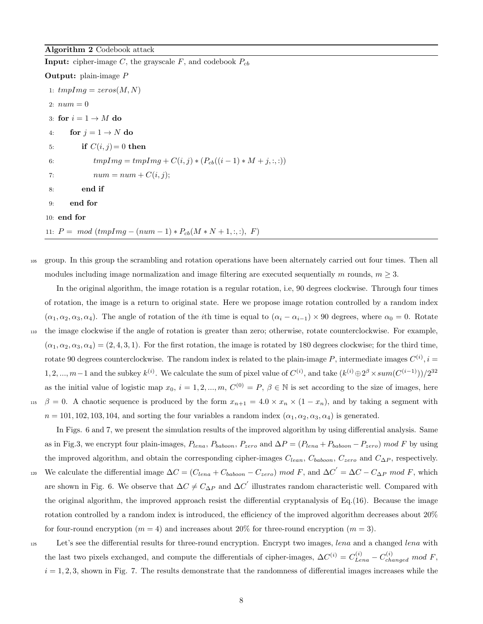Algorithm 2 Codebook attack **Input:** cipher-image C, the grayscale F, and codebook  $P_{cb}$ Output: plain-image P 1:  $tmpImg = zeros(M, N)$ 2:  $num = 0$ 3: for  $i = 1 \rightarrow M$  do 4: for  $j = 1 \rightarrow N$  do 5: if  $C(i, j) = 0$  then 6:  $tmpImg = tmpImg + C(i, j) * (P_{cb}((i - 1) * M + j, :, :))$ 7:  $num = num + C(i, j);$ 8: end if 9: end for 10: end for 11:  $P = mod (tmpImg - (num - 1) * P_{cb}(M * N + 1, :, :, F))$ 

<sup>105</sup> group. In this group the scrambling and rotation operations have been alternately carried out four times. Then all modules including image normalization and image filtering are executed sequentially m rounds,  $m \geq 3$ .

In the original algorithm, the image rotation is a regular rotation, i.e, 90 degrees clockwise. Through four times of rotation, the image is a return to original state. Here we propose image rotation controlled by a random index  $(\alpha_1, \alpha_2, \alpha_3, \alpha_4)$ . The angle of rotation of the *i*th time is equal to  $(\alpha_i - \alpha_{i-1}) \times 90$  degrees, where  $\alpha_0 = 0$ . Rotate <sup>110</sup> the image clockwise if the angle of rotation is greater than zero; otherwise, rotate counterclockwise. For example,  $(\alpha_1, \alpha_2, \alpha_3, \alpha_4) = (2, 4, 3, 1)$ . For the first rotation, the image is rotated by 180 degrees clockwise; for the third time, rotate 90 degrees counterclockwise. The random index is related to the plain-image P, intermediate images  $C^{(i)}$ ,  $i =$ 1, 2, ..., m − 1 and the subkey  $k^{(i)}$ . We calculate the sum of pixel value of  $C^{(i)}$ , and take  $(k^{(i)} \oplus 2^{\beta} \times sum(C^{(i-1)}))/2^{32}$ as the initial value of logistic map  $x_0$ ,  $i = 1, 2, ..., m$ ,  $C^{(0)} = P$ ,  $\beta \in \mathbb{N}$  is set according to the size of images, here <sup>115</sup> β = 0. A chaotic sequence is produced by the form  $x_{n+1} = 4.0 \times x_n \times (1 - x_n)$ , and by taking a segment with  $n = 101, 102, 103, 104$ , and sorting the four variables a random index  $(\alpha_1, \alpha_2, \alpha_3, \alpha_4)$  is generated.

In Figs. 6 and 7, we present the simulation results of the improved algorithm by using differential analysis. Same as in Fig.3, we encrypt four plain-images,  $P_{lena}$ ,  $P_{baboon}$ ,  $P_{zero}$  and  $\Delta P = (P_{lena} + P_{baboon} - P_{zero})$  mod F by using the improved algorithm, and obtain the corresponding cipher-images  $C_{lean}$ ,  $C_{baboon}$ ,  $C_{zero}$  and  $C_{\Delta P}$ , respectively. <sup>120</sup> We calculate the differential image  $\Delta C = (C_{lena} + C_{baboon} - C_{zero}) \mod F$ , and  $\Delta C' = \Delta C - C_{\Delta P} \mod F$ , which are shown in Fig. 6. We observe that  $\Delta C \neq C_{\Delta P}$  and  $\Delta C'$  illustrates random characteristic well. Compared with the original algorithm, the improved approach resist the differential cryptanalysis of Eq.(16). Because the image rotation controlled by a random index is introduced, the efficiency of the improved algorithm decreases about  $20\%$ for four-round encryption  $(m = 4)$  and increases about 20% for three-round encryption  $(m = 3)$ .

<sup>125</sup> Let's see the differential results for three-round encryption. Encrypt two images, lena and a changed lena with the last two pixels exchanged, and compute the differentials of cipher-images,  $\Delta C^{(i)} = C_{Lena}^{(i)} - C_{changed}^{(i)}$  mod F,  $i = 1, 2, 3$ , shown in Fig. 7. The results demonstrate that the randomness of differential images increases while the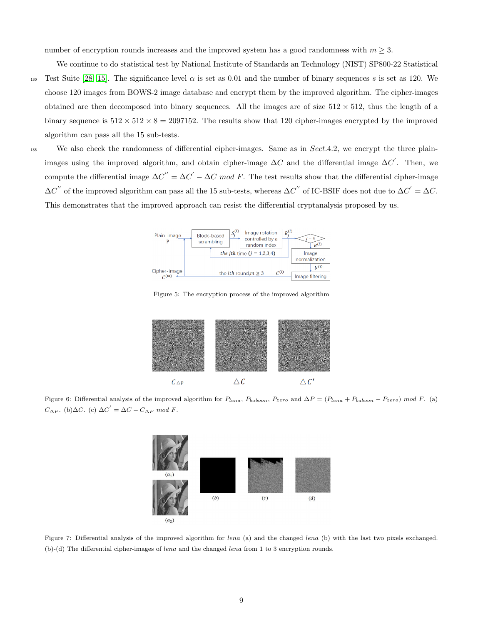number of encryption rounds increases and the improved system has a good randomness with  $m \geq 3$ .

We continue to do statistical test by National Institute of Standards an Technology (NIST) SP800-22 Statistical 130 Test Suite [\[28,](#page-11-4) [15\]](#page-10-13). The significance level  $\alpha$  is set as 0.01 and the number of binary sequences s is set as 120. We choose 120 images from BOWS-2 image database and encrypt them by the improved algorithm. The cipher-images obtained are then decomposed into binary sequences. All the images are of size  $512 \times 512$ , thus the length of a binary sequence is  $512 \times 512 \times 8 = 2097152$ . The results show that 120 cipher-images encrypted by the improved algorithm can pass all the 15 sub-tests.

135 We also check the randomness of differential cipher-images. Same as in Sect.4.2, we encrypt the three plainimages using the improved algorithm, and obtain cipher-image  $\Delta C$  and the differential image  $\Delta C'$ . Then, we compute the differential image  $\Delta C'' = \Delta C' - \Delta C \mod F$ . The test results show that the differential cipher-image  $\Delta C^{''}$  of the improved algorithm can pass all the 15 sub-tests, whereas  $\Delta C^{''}$  of IC-BSIF does not due to  $\Delta C^{'} = \Delta C$ . This demonstrates that the improved approach can resist the differential cryptanalysis proposed by us.



Figure 5: The encryption process of the improved algorithm



Figure 6: Differential analysis of the improved algorithm for  $P_{lena}$ ,  $P_{baboon}$ ,  $P_{zero}$  and  $\Delta P = (P_{lena} + P_{baboon} - P_{zero})$  mod F. (a)  $C_{\Delta P}$ . (b) $\Delta C$ . (c)  $\Delta C' = \Delta C - C_{\Delta P} \mod F$ .



Figure 7: Differential analysis of the improved algorithm for lena (a) and the changed lena (b) with the last two pixels exchanged. (b)-(d) The differential cipher-images of lena and the changed lena from 1 to 3 encryption rounds.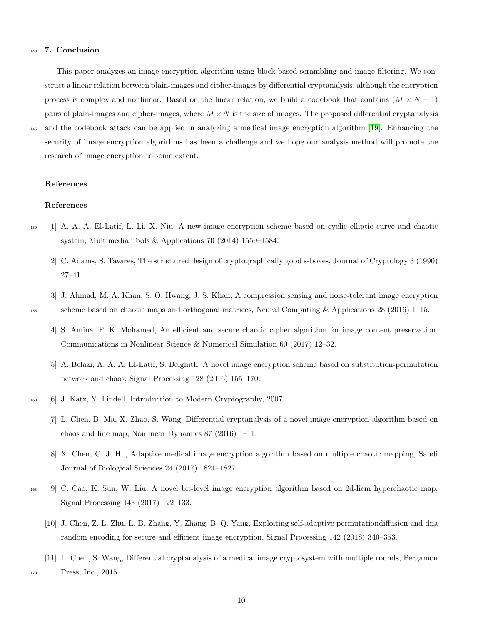# <sup>140</sup> 7. Conclusion

This paper analyzes an image encryption algorithm using block-based scrambling and image filtering. We construct a linear relation between plain-images and cipher-images by differential cryptanalysis, although the encryption process is complex and nonlinear. Based on the linear relation, we build a codebook that contains  $(M \times N + 1)$ pairs of plain-images and cipher-images, where  $M \times N$  is the size of images. The proposed differential cryptanalysis <sup>145</sup> and the codebook attack can be applied in analyzing a medical image encryption algorithm [\[19\]](#page-10-14). Enhancing the security of image encryption algorithms has been a challenge and we hope our analysis method will promote the research of image encryption to some extent.

References

#### <span id="page-9-2"></span>References

- <span id="page-9-1"></span><sup>150</sup> [1] A. A. A. El-Latif, L. Li, X. Niu, A new image encryption scheme based on cyclic elliptic curve and chaotic system, Multimedia Tools & Applications 70 (2014) 1559–1584.
	- [2] C. Adams, S. Tavares, The structured design of cryptographically good s-boxes, Journal of Cryptology 3 (1990) 27–41.
- <span id="page-9-5"></span><span id="page-9-4"></span>[3] J. Ahmad, M. A. Khan, S. O. Hwang, J. S. Khan, A compression sensing and noise-tolerant image encryption <sup>155</sup> scheme based on chaotic maps and orthogonal matrices, Neural Computing & Applications 28 (2016) 1–15.
	- [4] S. Amina, F. K. Mohamed, An efficient and secure chaotic cipher algorithm for image content preservation, Communications in Nonlinear Science & Numerical Simulation 60 (2017) 12–32.
	- [5] A. Belazi, A. A. A. El-Latif, S. Belghith, A novel image encryption scheme based on substitution-permutation network and chaos, Signal Processing 128 (2016) 155–170.
- <span id="page-9-10"></span><span id="page-9-3"></span><span id="page-9-0"></span><sup>160</sup> [6] J. Katz, Y. Lindell, Introduction to Modern Cryptography, 2007.
	- [7] L. Chen, B. Ma, X. Zhao, S. Wang, Differential cryptanalysis of a novel image encryption algorithm based on chaos and line map, Nonlinear Dynamics 87 (2016) 1–11.
	- [8] X. Chen, C. J. Hu, Adaptive medical image encryption algorithm based on multiple chaotic mapping, Saudi Journal of Biological Sciences 24 (2017) 1821–1827.
- <span id="page-9-8"></span><span id="page-9-7"></span><span id="page-9-6"></span><sup>165</sup> [9] C. Cao, K. Sun, W. Liu, A novel bit-level image encryption algorithm based on 2d-licm hyperchaotic map, Signal Processing 143 (2017) 122–133.
	- [10] J. Chen, Z. L. Zhu, L. B. Zhang, Y. Zhang, B. Q. Yang, Exploiting self-adaptive permutationdiffusion and dna random encoding for secure and efficient image encryption, Signal Processing 142 (2018) 340–353.
- <span id="page-9-9"></span>[11] L. Chen, S. Wang, Differential cryptanalysis of a medical image cryptosystem with multiple rounds, Pergamon 170 Press, Inc., 2015.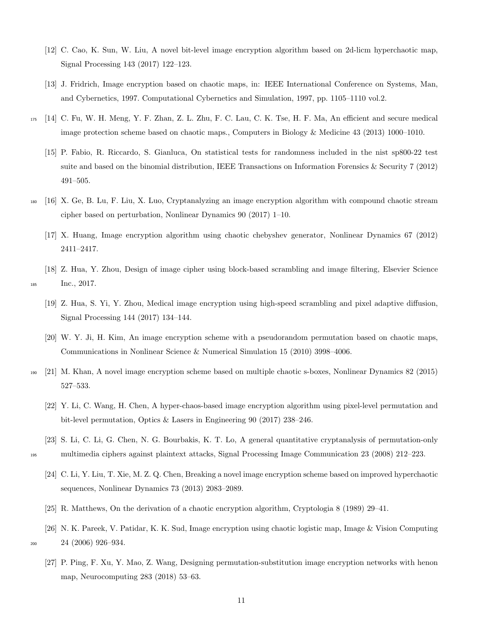- <span id="page-10-8"></span>[12] C. Cao, K. Sun, W. Liu, A novel bit-level image encryption algorithm based on 2d-licm hyperchaotic map, Signal Processing 143 (2017) 122–123.
- <span id="page-10-4"></span>[13] J. Fridrich, Image encryption based on chaotic maps, in: IEEE International Conference on Systems, Man, and Cybernetics, 1997. Computational Cybernetics and Simulation, 1997, pp. 1105–1110 vol.2.
- <span id="page-10-13"></span><span id="page-10-11"></span><sup>175</sup> [14] C. Fu, W. H. Meng, Y. F. Zhan, Z. L. Zhu, F. C. Lau, C. K. Tse, H. F. Ma, An efficient and secure medical image protection scheme based on chaotic maps., Computers in Biology & Medicine 43 (2013) 1000–1010.
	- [15] P. Fabio, R. Riccardo, S. Gianluca, On statistical tests for randomness included in the nist sp800-22 test suite and based on the binomial distribution, IEEE Transactions on Information Forensics & Security 7 (2012) 491–505.
- <span id="page-10-0"></span><sup>180</sup> [16] X. Ge, B. Lu, F. Liu, X. Luo, Cryptanalyzing an image encryption algorithm with compound chaotic stream cipher based on perturbation, Nonlinear Dynamics 90 (2017) 1–10.
	- [17] X. Huang, Image encryption algorithm using chaotic chebyshev generator, Nonlinear Dynamics 67 (2012) 2411–2417.
- <span id="page-10-14"></span><span id="page-10-12"></span>[18] Z. Hua, Y. Zhou, Design of image cipher using block-based scrambling and image filtering, Elsevier Science 185 Inc., 2017.
	- [19] Z. Hua, S. Yi, Y. Zhou, Medical image encryption using high-speed scrambling and pixel adaptive diffusion, Signal Processing 144 (2017) 134–144.
	- [20] W. Y. Ji, H. Kim, An image encryption scheme with a pseudorandom permutation based on chaotic maps, Communications in Nonlinear Science & Numerical Simulation 15 (2010) 3998–4006.
- <span id="page-10-7"></span><span id="page-10-5"></span><span id="page-10-2"></span><sup>190</sup> [21] M. Khan, A novel image encryption scheme based on multiple chaotic s-boxes, Nonlinear Dynamics 82 (2015) 527–533.
	- [22] Y. Li, C. Wang, H. Chen, A hyper-chaos-based image encryption algorithm using pixel-level permutation and bit-level permutation, Optics & Lasers in Engineering 90 (2017) 238–246.
- <span id="page-10-10"></span><span id="page-10-9"></span>[23] S. Li, C. Li, G. Chen, N. G. Bourbakis, K. T. Lo, A general quantitative cryptanalysis of permutation-only <sup>195</sup> multimedia ciphers against plaintext attacks, Signal Processing Image Communication 23 (2008) 212–223.
	- [24] C. Li, Y. Liu, T. Xie, M. Z. Q. Chen, Breaking a novel image encryption scheme based on improved hyperchaotic sequences, Nonlinear Dynamics 73 (2013) 2083–2089.
	- [25] R. Matthews, On the derivation of a chaotic encryption algorithm, Cryptologia 8 (1989) 29–41.
- <span id="page-10-6"></span><span id="page-10-3"></span><span id="page-10-1"></span>[26] N. K. Pareek, V. Patidar, K. K. Sud, Image encryption using chaotic logistic map, Image & Vision Computing <sup>200</sup> 24 (2006) 926–934.
	- [27] P. Ping, F. Xu, Y. Mao, Z. Wang, Designing permutation-substitution image encryption networks with henon map, Neurocomputing 283 (2018) 53–63.